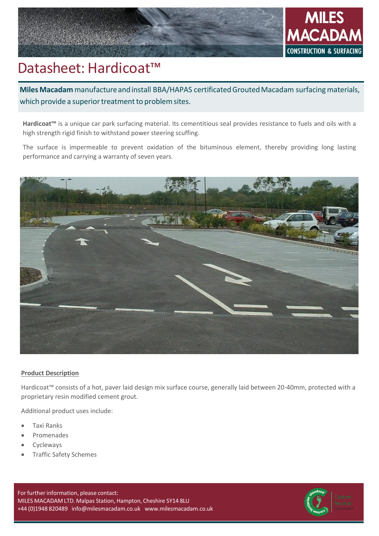



# Datasheet: Hardicoat™

**Miles Macadam** manufacture and install BBA/HAPAS certificated Grouted Macadam surfacing materials, which provide a superior treatment to problem sites.

**Hardicoat™** is a unique car park surfacing material. Its cementitious seal provides resistance to fuels and oils with a high strength rigid finish to withstand power steering scuffing.

The surface is impermeable to prevent oxidation of the bituminous element, thereby providing long lasting performance and carrying a warranty of seven years.



# **Product Description**

Hardicoat™ consists of a hot, paver laid design mix surface course, generally laid between 20-40mm, protected with a proprietary resin modified cement grout.

Additional product uses include:

- Taxi Ranks
- Promenades
- **Cycleways**
- Traffic Safety Schemes

For further information, please contact: MILES MACADAM LTD. Malpas Station, Hampton, Cheshire SY14 8LU +44 (0)1948 820489 [info@milesmacadam.co.uk](mailto:info@milesmacadam.co.uk) [www.milesmacadam.co.uk](http://www.milesmacadam.co.uk/)